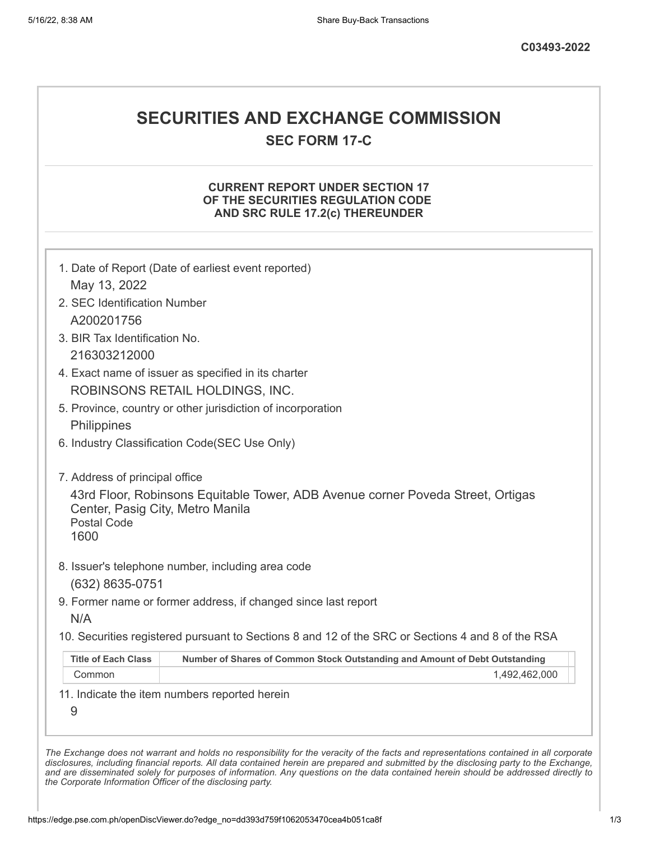# **SECURITIES AND EXCHANGE COMMISSION**

**SEC FORM 17-C**

### **CURRENT REPORT UNDER SECTION 17 OF THE SECURITIES REGULATION CODE AND SRC RULE 17.2(c) THEREUNDER**

| May 13, 2022                                                   |                                                                                                   |
|----------------------------------------------------------------|---------------------------------------------------------------------------------------------------|
|                                                                | 1. Date of Report (Date of earliest event reported)                                               |
| 2. SEC Identification Number                                   |                                                                                                   |
| A200201756                                                     |                                                                                                   |
| 3. BIR Tax Identification No.                                  |                                                                                                   |
| 216303212000                                                   |                                                                                                   |
|                                                                | 4. Exact name of issuer as specified in its charter                                               |
|                                                                | ROBINSONS RETAIL HOLDINGS, INC.                                                                   |
|                                                                | 5. Province, country or other jurisdiction of incorporation                                       |
| Philippines                                                    |                                                                                                   |
|                                                                | 6. Industry Classification Code(SEC Use Only)                                                     |
|                                                                |                                                                                                   |
| 7. Address of principal office                                 |                                                                                                   |
| Center, Pasig City, Metro Manila<br><b>Postal Code</b><br>1600 | 43rd Floor, Robinsons Equitable Tower, ADB Avenue corner Poveda Street, Ortigas                   |
| (632) 8635-0751                                                | 8. Issuer's telephone number, including area code                                                 |
|                                                                | 9. Former name or former address, if changed since last report                                    |
| N/A                                                            |                                                                                                   |
|                                                                | 10. Securities registered pursuant to Sections 8 and 12 of the SRC or Sections 4 and 8 of the RSA |
|                                                                |                                                                                                   |
| <b>Title of Each Class</b>                                     | Number of Shares of Common Stock Outstanding and Amount of Debt Outstanding                       |
| Common                                                         | 1,492,462,000                                                                                     |

*the Corporate Information Officer of the disclosing party.*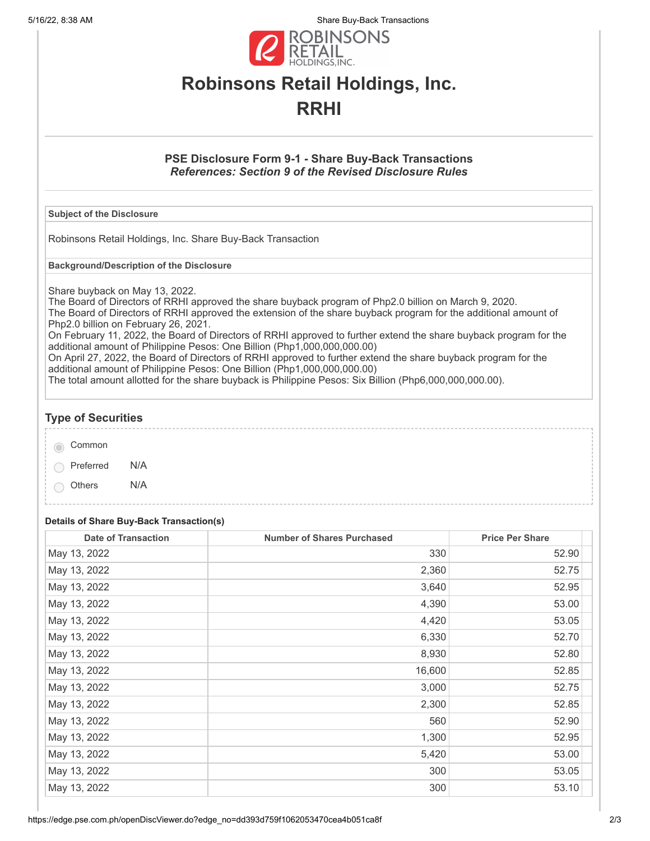5/16/22, 8:38 AM Share Buy-Back Transactions



# **Robinsons Retail Holdings, Inc. RRHI**

### **PSE Disclosure Form 9-1 - Share Buy-Back Transactions** *References: Section 9 of the Revised Disclosure Rules*

#### **Subject of the Disclosure**

Robinsons Retail Holdings, Inc. Share Buy-Back Transaction

**Background/Description of the Disclosure**

Share buyback on May 13, 2022.

The Board of Directors of RRHI approved the share buyback program of Php2.0 billion on March 9, 2020. The Board of Directors of RRHI approved the extension of the share buyback program for the additional amount of Php2.0 billion on February 26, 2021.

On February 11, 2022, the Board of Directors of RRHI approved to further extend the share buyback program for the additional amount of Philippine Pesos: One Billion (Php1,000,000,000.00)

On April 27, 2022, the Board of Directors of RRHI approved to further extend the share buyback program for the additional amount of Philippine Pesos: One Billion (Php1,000,000,000.00)

The total amount allotted for the share buyback is Philippine Pesos: Six Billion (Php6,000,000,000.00).

### **Type of Securities**

| Common    |     |
|-----------|-----|
| Preferred | N/A |

Others N/A

#### **Details of Share Buy-Back Transaction(s)**

| <b>Date of Transaction</b> | <b>Number of Shares Purchased</b> | <b>Price Per Share</b> |
|----------------------------|-----------------------------------|------------------------|
| May 13, 2022               | 330                               | 52.90                  |
| May 13, 2022               | 2,360                             | 52.75                  |
| May 13, 2022               | 3,640                             | 52.95                  |
| May 13, 2022               | 4,390                             | 53.00                  |
| May 13, 2022               | 4,420                             | 53.05                  |
| May 13, 2022               | 6,330                             | 52.70                  |
| May 13, 2022               | 8,930                             | 52.80                  |
| May 13, 2022               | 16,600                            | 52.85                  |
| May 13, 2022               | 3,000                             | 52.75                  |
| May 13, 2022               | 2,300                             | 52.85                  |
| May 13, 2022               | 560                               | 52.90                  |
| May 13, 2022               | 1,300                             | 52.95                  |
| May 13, 2022               | 5,420                             | 53.00                  |
| May 13, 2022               | 300                               | 53.05                  |
| May 13, 2022               | 300                               | 53.10                  |